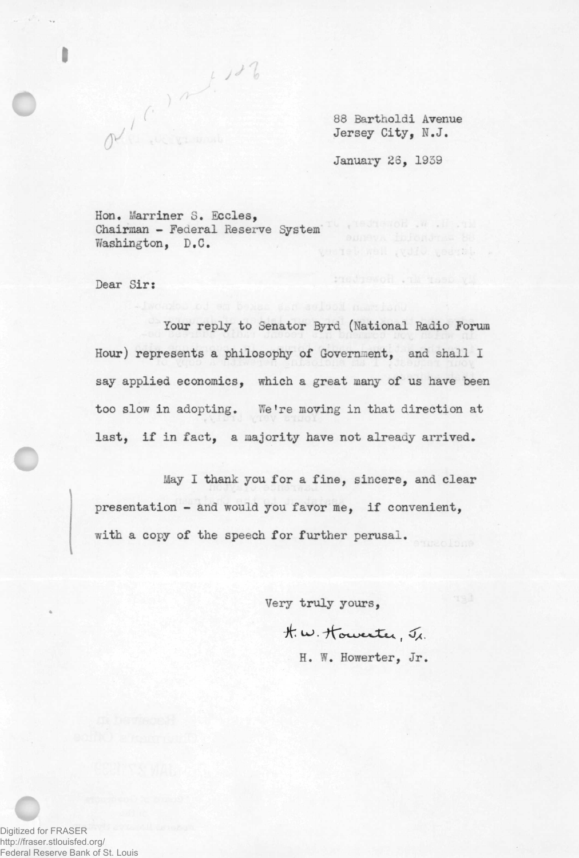88 Bartholdi Avenue Jersey City, N.J.

My dear in Howevert

January 23, 1939

Hon. Marriner S. Eccles, Chairman - Federal Reserve System Washington, D.C.

a (C) a 1.128

Dear Sir:

Your reply to Senator Byrd (National Radio Forum Hour) represents a philosophy of Government, and shall I say applied economics, which a great many of us have been too slow in adopting. We're moving in that direction at last, if in fact, a majority have not already arrived.

May I thank you for a fine, sincere, and clear presentation - and would you favor me, if convenient, with a copy of the speech for further perusal.

Very truly yours,

t. w. Howester, Jr.

H. W. Howerter, Jr,

Digitized for FRASER http://fraser.stlouisfed.org/ Federal Reserve Bank of St. Louis